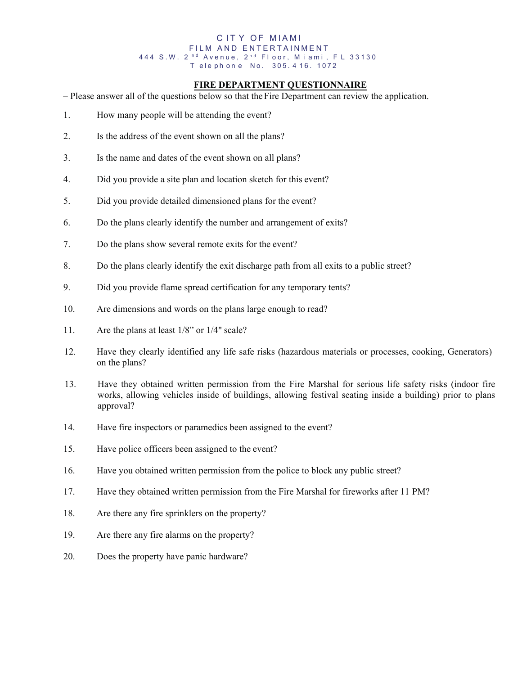#### C ITY OF MIAMI FILM AND ENTERTAINMENT 444 S.W. 2<sup>nd</sup> Avenue, 2<sup>nd</sup> Floor, Miami, FL 33130 T ele ph on e No. 305.416.1072

## **FIRE DEPARTMENT QUESTIONNAIRE**

**–** Please answer all of the questions below so that the Fire Department can review the application.

- 1. How many people will be attending the event?
- 2. Is the address of the event shown on all the plans?
- 3. Is the name and dates of the event shown on all plans?
- 4. Did you provide a site plan and location sketch for this event?
- 5. Did you provide detailed dimensioned plans for the event?
- 6. Do the plans clearly identify the number and arrangement of exits?
- 7. Do the plans show several remote exits for the event?
- 8. Do the plans clearly identify the exit discharge path from all exits to a public street?
- 9. Did you provide flame spread certification for any temporary tents?
- 10. Are dimensions and words on the plans large enough to read?
- 11. Are the plans at least 1/8" or 1/4" scale?
- 12. Have they clearly identified any life safe risks (hazardous materials or processes, cooking, Generators) on the plans?
- 13. Have they obtained written permission from the Fire Marshal for serious life safety risks (indoor fire works, allowing vehicles inside of buildings, allowing festival seating inside a building) prior to plans approval?
- 14. Have fire inspectors or paramedics been assigned to the event?
- 15. Have police officers been assigned to the event?
- 16. Have you obtained written permission from the police to block any public street?
- 17. Have they obtained written permission from the Fire Marshal for fireworks after 11 PM?
- 18. Are there any fire sprinklers on the property?
- 19. Are there any fire alarms on the property?
- 20. Does the property have panic hardware?